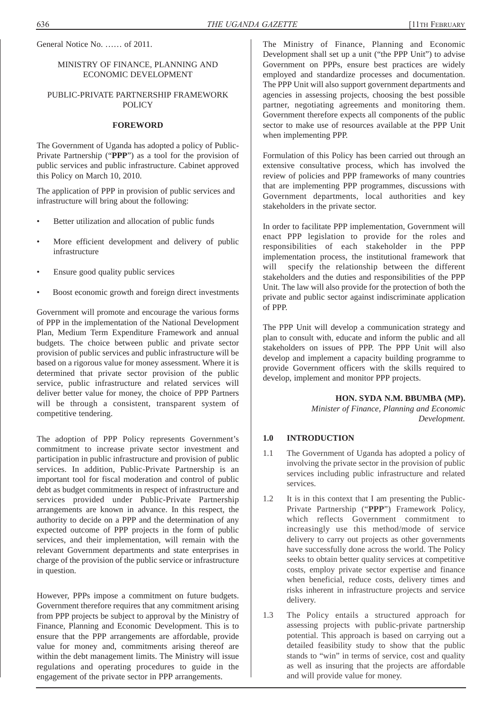General Notice No. …… of 2011.

#### MINISTRY OF FINANCE, PLANNING AND ECONOMIC DEVELOPMENT

#### PUBLIC-PRIVATE PARTNERSHIP FRAMEWORK **POLICY**

### **FOREWORD**

The Government of Uganda has adopted a policy of Public-Private Partnership ("**PPP**") as a tool for the provision of public services and public infrastructure. Cabinet approved this Policy on March 10, 2010.

The application of PPP in provision of public services and infrastructure will bring about the following:

- Better utilization and allocation of public funds
- More efficient development and delivery of public infrastructure
- Ensure good quality public services
- Boost economic growth and foreign direct investments

Government will promote and encourage the various forms of PPP in the implementation of the National Development Plan, Medium Term Expenditure Framework and annual budgets. The choice between public and private sector provision of public services and public infrastructure will be based on a rigorous value for money assessment. Where it is determined that private sector provision of the public service, public infrastructure and related services will deliver better value for money, the choice of PPP Partners will be through a consistent, transparent system of competitive tendering.

The adoption of PPP Policy represents Government's commitment to increase private sector investment and participation in public infrastructure and provision of public services. In addition, Public-Private Partnership is an important tool for fiscal moderation and control of public debt as budget commitments in respect of infrastructure and services provided under Public-Private Partnership arrangements are known in advance. In this respect, the authority to decide on a PPP and the determination of any expected outcome of PPP projects in the form of public services, and their implementation, will remain with the relevant Government departments and state enterprises in charge of the provision of the public service or infrastructure in question.

However, PPPs impose a commitment on future budgets. Government therefore requires that any commitment arising from PPP projects be subject to approval by the Ministry of Finance, Planning and Economic Development. This is to ensure that the PPP arrangements are affordable, provide value for money and, commitments arising thereof are within the debt management limits. The Ministry will issue regulations and operating procedures to guide in the engagement of the private sector in PPP arrangements.

The Ministry of Finance, Planning and Economic Development shall set up a unit ("the PPP Unit") to advise Government on PPPs, ensure best practices are widely employed and standardize processes and documentation. The PPP Unit will also support government departments and agencies in assessing projects, choosing the best possible partner, negotiating agreements and monitoring them. Government therefore expects all components of the public sector to make use of resources available at the PPP Unit when implementing PPP.

Formulation of this Policy has been carried out through an extensive consultative process, which has involved the review of policies and PPP frameworks of many countries that are implementing PPP programmes, discussions with Government departments, local authorities and key stakeholders in the private sector.

In order to facilitate PPP implementation, Government will enact PPP legislation to provide for the roles and responsibilities of each stakeholder in the PPP implementation process, the institutional framework that will specify the relationship between the different stakeholders and the duties and responsibilities of the PPP Unit. The law will also provide for the protection of both the private and public sector against indiscriminate application of PPP.

The PPP Unit will develop a communication strategy and plan to consult with, educate and inform the public and all stakeholders on issues of PPP. The PPP Unit will also develop and implement a capacity building programme to provide Government officers with the skills required to develop, implement and monitor PPP projects.

#### **HON. SYDA N.M. BBUMBA (MP).**

*Minister of Finance, Planning and Economic Development.*

#### **1.0 INTRODUCTION**

- 1.1 The Government of Uganda has adopted a policy of involving the private sector in the provision of public services including public infrastructure and related services.
- 1.2 It is in this context that I am presenting the Public-Private Partnership ("**PPP**") Framework Policy, which reflects Government commitment to increasingly use this method/mode of service delivery to carry out projects as other governments have successfully done across the world. The Policy seeks to obtain better quality services at competitive costs, employ private sector expertise and finance when beneficial, reduce costs, delivery times and risks inherent in infrastructure projects and service delivery.
- 1.3 The Policy entails a structured approach for assessing projects with public-private partnership potential. This approach is based on carrying out a detailed feasibility study to show that the public stands to "win" in terms of service, cost and quality as well as insuring that the projects are affordable and will provide value for money.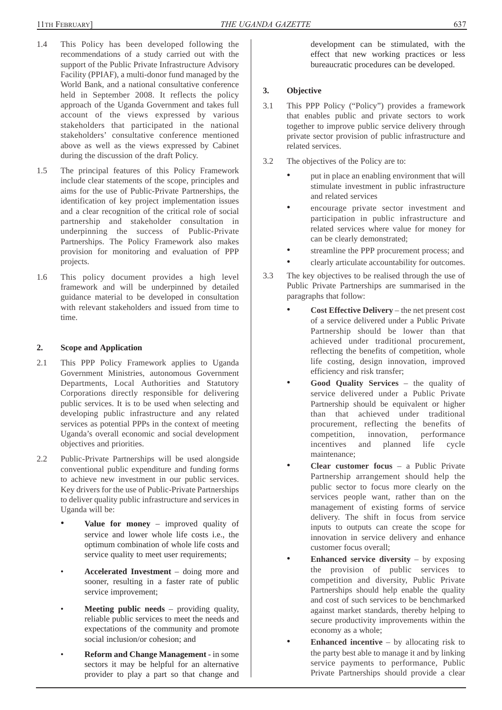- 1.4 This Policy has been developed following the recommendations of a study carried out with the support of the Public Private Infrastructure Advisory Facility (PPIAF), a multi-donor fund managed by the World Bank, and a national consultative conference held in September 2008. It reflects the policy approach of the Uganda Government and takes full account of the views expressed by various stakeholders that participated in the national stakeholders' consultative conference mentioned above as well as the views expressed by Cabinet during the discussion of the draft Policy.
- 1.5 The principal features of this Policy Framework include clear statements of the scope, principles and aims for the use of Public-Private Partnerships, the identification of key project implementation issues and a clear recognition of the critical role of social partnership and stakeholder consultation in underpinning the success of Public-Private Partnerships. The Policy Framework also makes provision for monitoring and evaluation of PPP projects.
- 1.6 This policy document provides a high level framework and will be underpinned by detailed guidance material to be developed in consultation with relevant stakeholders and issued from time to time.

## **2. Scope and Application**

- 2.1 This PPP Policy Framework applies to Uganda Government Ministries, autonomous Government Departments, Local Authorities and Statutory Corporations directly responsible for delivering public services. It is to be used when selecting and developing public infrastructure and any related services as potential PPPs in the context of meeting Uganda's overall economic and social development objectives and priorities.
- 2.2 Public-Private Partnerships will be used alongside conventional public expenditure and funding forms to achieve new investment in our public services. Key drivers for the use of Public-Private Partnerships to deliver quality public infrastructure and services in Uganda will be:
	- **Value for money** improved quality of service and lower whole life costs i.e., the optimum combination of whole life costs and service quality to meet user requirements;
	- **Accelerated Investment**  doing more and sooner, resulting in a faster rate of public service improvement;
	- **Meeting public needs** providing quality, reliable public services to meet the needs and expectations of the community and promote social inclusion/or cohesion; and
	- **Reform and Change Management** in some sectors it may be helpful for an alternative provider to play a part so that change and

development can be stimulated, with the effect that new working practices or less bureaucratic procedures can be developed.

# **3. Objective**

- 3.1 This PPP Policy ("Policy") provides a framework that enables public and private sectors to work together to improve public service delivery through private sector provision of public infrastructure and related services.
- 3.2 The objectives of the Policy are to:
	- put in place an enabling environment that will stimulate investment in public infrastructure and related services
	- encourage private sector investment and participation in public infrastructure and related services where value for money for can be clearly demonstrated;
	- streamline the PPP procurement process; and
	- clearly articulate accountability for outcomes.
- 3.3 The key objectives to be realised through the use of Public Private Partnerships are summarised in the paragraphs that follow:
	- **Cost Effective Delivery** the net present cost of a service delivered under a Public Private Partnership should be lower than that achieved under traditional procurement, reflecting the benefits of competition, whole life costing, design innovation, improved efficiency and risk transfer;
	- **Good Quality Services** the quality of service delivered under a Public Private Partnership should be equivalent or higher than that achieved under traditional procurement, reflecting the benefits of competition, innovation, performance incentives and planned life cycle maintenance;
	- **Clear customer focus**  a Public Private Partnership arrangement should help the public sector to focus more clearly on the services people want, rather than on the management of existing forms of service delivery. The shift in focus from service inputs to outputs can create the scope for innovation in service delivery and enhance customer focus overall;
	- **Enhanced service diversity** by exposing the provision of public services to competition and diversity, Public Private Partnerships should help enable the quality and cost of such services to be benchmarked against market standards, thereby helping to secure productivity improvements within the economy as a whole;
	- **Enhanced incentive** by allocating risk to the party best able to manage it and by linking service payments to performance, Public Private Partnerships should provide a clear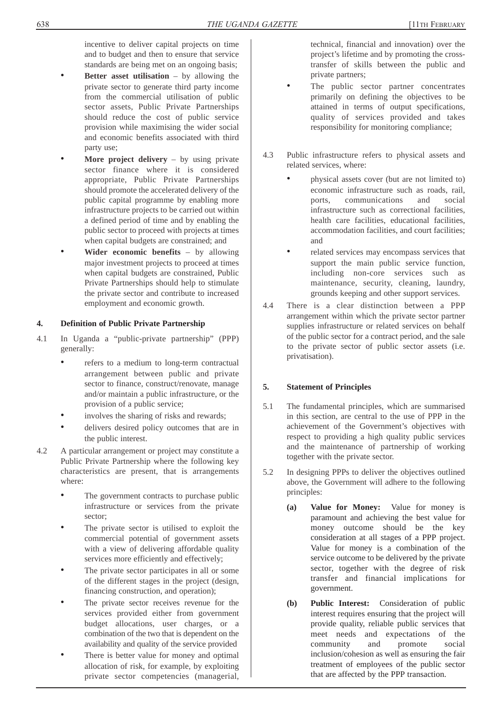incentive to deliver capital projects on time and to budget and then to ensure that service standards are being met on an ongoing basis;

- **Better asset utilisation** by allowing the private sector to generate third party income from the commercial utilisation of public sector assets, Public Private Partnerships should reduce the cost of public service provision while maximising the wider social and economic benefits associated with third party use;
- **More project delivery** by using private sector finance where it is considered appropriate, Public Private Partnerships should promote the accelerated delivery of the public capital programme by enabling more infrastructure projects to be carried out within a defined period of time and by enabling the public sector to proceed with projects at times when capital budgets are constrained; and
- **Wider economic benefits** by allowing major investment projects to proceed at times when capital budgets are constrained, Public Private Partnerships should help to stimulate the private sector and contribute to increased employment and economic growth.

## **4. Definition of Public Private Partnership**

- 4.1 In Uganda a "public-private partnership" (PPP) generally:
	- refers to a medium to long-term contractual arrangement between public and private sector to finance, construct/renovate, manage and/or maintain a public infrastructure, or the provision of a public service;
	- involves the sharing of risks and rewards;
	- delivers desired policy outcomes that are in the public interest.
- 4.2 A particular arrangement or project may constitute a Public Private Partnership where the following key characteristics are present, that is arrangements where:
	- The government contracts to purchase public infrastructure or services from the private sector;
	- The private sector is utilised to exploit the commercial potential of government assets with a view of delivering affordable quality services more efficiently and effectively;
	- The private sector participates in all or some of the different stages in the project (design, financing construction, and operation);
	- The private sector receives revenue for the services provided either from government budget allocations, user charges, or a combination of the two that is dependent on the availability and quality of the service provided
	- There is better value for money and optimal allocation of risk, for example, by exploiting private sector competencies (managerial,

technical, financial and innovation) over the project's lifetime and by promoting the crosstransfer of skills between the public and private partners;

- The public sector partner concentrates primarily on defining the objectives to be attained in terms of output specifications, quality of services provided and takes responsibility for monitoring compliance;
- 4.3 Public infrastructure refers to physical assets and related services, where:
	- physical assets cover (but are not limited to) economic infrastructure such as roads, rail, ports, communications and social infrastructure such as correctional facilities, health care facilities, educational facilities, accommodation facilities, and court facilities; and
	- related services may encompass services that support the main public service function, including non-core services such as maintenance, security, cleaning, laundry, grounds keeping and other support services.
- 4.4 There is a clear distinction between a PPP arrangement within which the private sector partner supplies infrastructure or related services on behalf of the public sector for a contract period, and the sale to the private sector of public sector assets (i.e. privatisation).

## **5. Statement of Principles**

- 5.1 The fundamental principles, which are summarised in this section, are central to the use of PPP in the achievement of the Government's objectives with respect to providing a high quality public services and the maintenance of partnership of working together with the private sector.
- 5.2 In designing PPPs to deliver the objectives outlined above, the Government will adhere to the following principles:
	- **(a) Value for Money:** Value for money is paramount and achieving the best value for money outcome should be the key consideration at all stages of a PPP project. Value for money is a combination of the service outcome to be delivered by the private sector, together with the degree of risk transfer and financial implications for government.
	- **(b) Public Interest:** Consideration of public interest requires ensuring that the project will provide quality, reliable public services that meet needs and expectations of the community and promote social inclusion/cohesion as well as ensuring the fair treatment of employees of the public sector that are affected by the PPP transaction.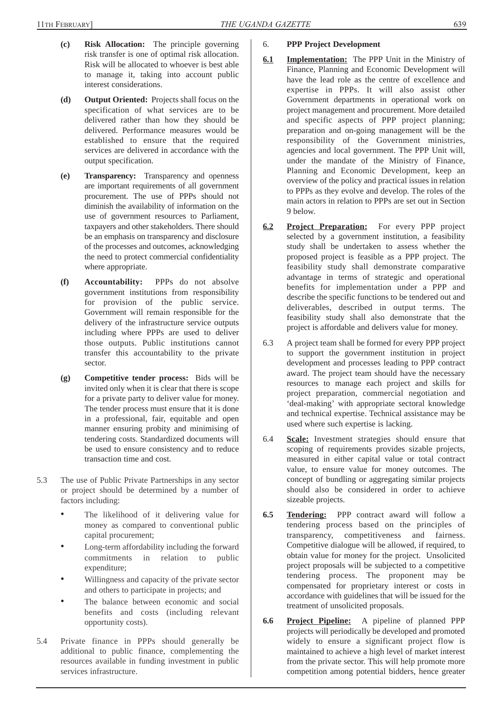- **(c) Risk Allocation:** The principle governing risk transfer is one of optimal risk allocation. Risk will be allocated to whoever is best able to manage it, taking into account public interest considerations.
- **(d) Output Oriented:** Projects shall focus on the specification of what services are to be delivered rather than how they should be delivered. Performance measures would be established to ensure that the required services are delivered in accordance with the output specification.
- **(e) Transparency:** Transparency and openness are important requirements of all government procurement. The use of PPPs should not diminish the availability of information on the use of government resources to Parliament, taxpayers and other stakeholders. There should be an emphasis on transparency and disclosure of the processes and outcomes, acknowledging the need to protect commercial confidentiality where appropriate.
- **(f) Accountability:** PPPs do not absolve government institutions from responsibility for provision of the public service. Government will remain responsible for the delivery of the infrastructure service outputs including where PPPs are used to deliver those outputs. Public institutions cannot transfer this accountability to the private sector.
- **(g) Competitive tender process:** Bids will be invited only when it is clear that there is scope for a private party to deliver value for money. The tender process must ensure that it is done in a professional, fair, equitable and open manner ensuring probity and minimising of tendering costs. Standardized documents will be used to ensure consistency and to reduce transaction time and cost.
- 5.3 The use of Public Private Partnerships in any sector or project should be determined by a number of factors including:
	- The likelihood of it delivering value for money as compared to conventional public capital procurement;
	- Long-term affordability including the forward commitments in relation to public expenditure;
	- Willingness and capacity of the private sector and others to participate in projects; and
	- The balance between economic and social benefits and costs (including relevant opportunity costs).
- 5.4 Private finance in PPPs should generally be additional to public finance, complementing the resources available in funding investment in public services infrastructure.
- 6. **PPP Project Development**
- **6.1 Implementation:** The PPP Unit in the Ministry of Finance, Planning and Economic Development will have the lead role as the centre of excellence and expertise in PPPs. It will also assist other Government departments in operational work on project management and procurement. More detailed and specific aspects of PPP project planning; preparation and on-going management will be the responsibility of the Government ministries, agencies and local government. The PPP Unit will, under the mandate of the Ministry of Finance, Planning and Economic Development, keep an overview of the policy and practical issues in relation to PPPs as they evolve and develop. The roles of the main actors in relation to PPPs are set out in Section 9 below.
- **6.2 Project Preparation:** For every PPP project selected by a government institution, a feasibility study shall be undertaken to assess whether the proposed project is feasible as a PPP project. The feasibility study shall demonstrate comparative advantage in terms of strategic and operational benefits for implementation under a PPP and describe the specific functions to be tendered out and deliverables, described in output terms. The feasibility study shall also demonstrate that the project is affordable and delivers value for money.
- 6.3 A project team shall be formed for every PPP project to support the government institution in project development and processes leading to PPP contract award. The project team should have the necessary resources to manage each project and skills for project preparation, commercial negotiation and 'deal-making' with appropriate sectoral knowledge and technical expertise. Technical assistance may be used where such expertise is lacking.
- 6.4 **Scale:** Investment strategies should ensure that scoping of requirements provides sizable projects, measured in either capital value or total contract value, to ensure value for money outcomes. The concept of bundling or aggregating similar projects should also be considered in order to achieve sizeable projects.
- **6.5 Tendering:** PPP contract award will follow a tendering process based on the principles of transparency, competitiveness and fairness. Competitive dialogue will be allowed, if required, to obtain value for money for the project. Unsolicited project proposals will be subjected to a competitive tendering process. The proponent may be compensated for proprietary interest or costs in accordance with guidelines that will be issued for the treatment of unsolicited proposals.
- **6.6 Project Pipeline:** A pipeline of planned PPP projects will periodically be developed and promoted widely to ensure a significant project flow is maintained to achieve a high level of market interest from the private sector. This will help promote more competition among potential bidders, hence greater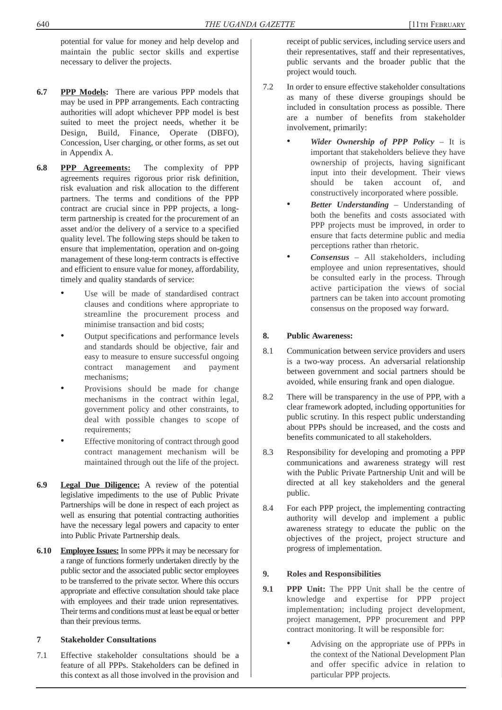potential for value for money and help develop and maintain the public sector skills and expertise necessary to deliver the projects.

- **6.7 PPP Models:** There are various PPP models that may be used in PPP arrangements. Each contracting authorities will adopt whichever PPP model is best suited to meet the project needs, whether it be Design, Build, Finance, Operate (DBFO), Concession, User charging, or other forms, as set out in Appendix A.
- **6.8 PPP Agreements:** The complexity of PPP agreements requires rigorous prior risk definition, risk evaluation and risk allocation to the different partners. The terms and conditions of the PPP contract are crucial since in PPP projects, a longterm partnership is created for the procurement of an asset and/or the delivery of a service to a specified quality level. The following steps should be taken to ensure that implementation, operation and on-going management of these long-term contracts is effective and efficient to ensure value for money, affordability, timely and quality standards of service:
	- Use will be made of standardised contract clauses and conditions where appropriate to streamline the procurement process and minimise transaction and bid costs;
	- Output specifications and performance levels and standards should be objective, fair and easy to measure to ensure successful ongoing contract management and payment mechanisms;
	- Provisions should be made for change mechanisms in the contract within legal, government policy and other constraints, to deal with possible changes to scope of requirements;
	- Effective monitoring of contract through good contract management mechanism will be maintained through out the life of the project.
- **6.9 Legal Due Diligence:** A review of the potential legislative impediments to the use of Public Private Partnerships will be done in respect of each project as well as ensuring that potential contracting authorities have the necessary legal powers and capacity to enter into Public Private Partnership deals.
- **6.10 Employee Issues:** In some PPPs it may be necessary for a range of functions formerly undertaken directly by the public sector and the associated public sector employees to be transferred to the private sector. Where this occurs appropriate and effective consultation should take place with employees and their trade union representatives. Their terms and conditions must at least be equal or better than their previous terms.

## **7 Stakeholder Consultations**

7.1 Effective stakeholder consultations should be a feature of all PPPs. Stakeholders can be defined in this context as all those involved in the provision and receipt of public services, including service users and their representatives, staff and their representatives, public servants and the broader public that the project would touch.

- 7.2 In order to ensure effective stakeholder consultations as many of these diverse groupings should be included in consultation process as possible. There are a number of benefits from stakeholder involvement, primarily:
	- *Wider Ownership of PPP Policy* It is important that stakeholders believe they have ownership of projects, having significant input into their development. Their views should be taken account of, and constructively incorporated where possible.
	- *Better Understanding* Understanding of both the benefits and costs associated with PPP projects must be improved, in order to ensure that facts determine public and media perceptions rather than rhetoric.
	- *Consensus* All stakeholders, including employee and union representatives, should be consulted early in the process. Through active participation the views of social partners can be taken into account promoting consensus on the proposed way forward.

### **8. Public Awareness:**

- 8.1 Communication between service providers and users is a two-way process. An adversarial relationship between government and social partners should be avoided, while ensuring frank and open dialogue.
- 8.2 There will be transparency in the use of PPP, with a clear framework adopted, including opportunities for public scrutiny. In this respect public understanding about PPPs should be increased, and the costs and benefits communicated to all stakeholders.
- 8.3 Responsibility for developing and promoting a PPP communications and awareness strategy will rest with the Public Private Partnership Unit and will be directed at all key stakeholders and the general public.
- 8.4 For each PPP project, the implementing contracting authority will develop and implement a public awareness strategy to educate the public on the objectives of the project, project structure and progress of implementation.

## **9. Roles and Responsibilities**

- **9.1 PPP Unit:** The PPP Unit shall be the centre of knowledge and expertise for PPP project implementation; including project development, project management, PPP procurement and PPP contract monitoring. It will be responsible for:
	- Advising on the appropriate use of PPPs in the context of the National Development Plan and offer specific advice in relation to particular PPP projects.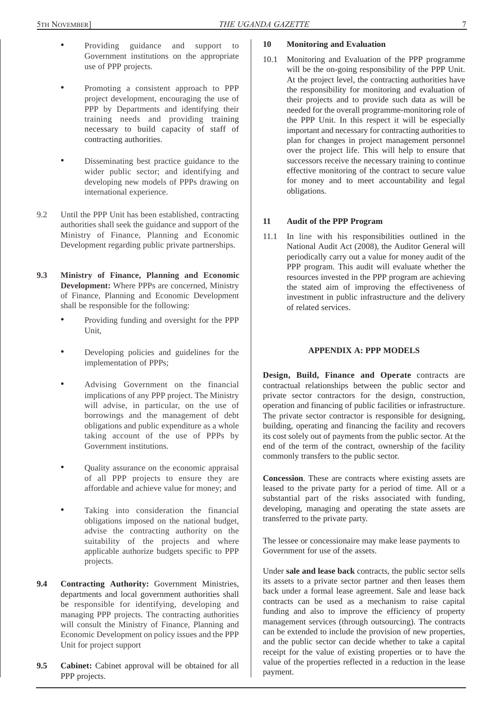- - Providing guidance and support to Government institutions on the appropriate use of PPP projects.
	- Promoting a consistent approach to PPP project development, encouraging the use of PPP by Departments and identifying their training needs and providing training necessary to build capacity of staff of contracting authorities.
	- Disseminating best practice guidance to the wider public sector; and identifying and developing new models of PPPs drawing on international experience.
- 9.2 Until the PPP Unit has been established, contracting authorities shall seek the guidance and support of the Ministry of Finance, Planning and Economic Development regarding public private partnerships.
- **9.3 Ministry of Finance, Planning and Economic Development:** Where PPPs are concerned, Ministry of Finance, Planning and Economic Development shall be responsible for the following:
	- Providing funding and oversight for the PPP Unit,
	- Developing policies and guidelines for the implementation of PPPs;
	- Advising Government on the financial implications of any PPP project. The Ministry will advise, in particular, on the use of borrowings and the management of debt obligations and public expenditure as a whole taking account of the use of PPPs by Government institutions.
	- Quality assurance on the economic appraisal of all PPP projects to ensure they are affordable and achieve value for money; and
	- Taking into consideration the financial obligations imposed on the national budget, advise the contracting authority on the suitability of the projects and where applicable authorize budgets specific to PPP projects.
- **9.4 Contracting Authority:** Government Ministries, departments and local government authorities shall be responsible for identifying, developing and managing PPP projects. The contracting authorities will consult the Ministry of Finance, Planning and Economic Development on policy issues and the PPP Unit for project support
- **9.5 Cabinet:** Cabinet approval will be obtained for all PPP projects.

## **10 Monitoring and Evaluation**

10.1 Monitoring and Evaluation of the PPP programme will be the on-going responsibility of the PPP Unit. At the project level, the contracting authorities have the responsibility for monitoring and evaluation of their projects and to provide such data as will be needed for the overall programme-monitoring role of the PPP Unit. In this respect it will be especially important and necessary for contracting authorities to plan for changes in project management personnel over the project life. This will help to ensure that successors receive the necessary training to continue effective monitoring of the contract to secure value for money and to meet accountability and legal obligations.

### **11 Audit of the PPP Program**

11.1 In line with his responsibilities outlined in the National Audit Act (2008), the Auditor General will periodically carry out a value for money audit of the PPP program. This audit will evaluate whether the resources invested in the PPP program are achieving the stated aim of improving the effectiveness of investment in public infrastructure and the delivery of related services.

#### **APPENDIX A: PPP MODELS**

**Design, Build, Finance and Operate** contracts are contractual relationships between the public sector and private sector contractors for the design, construction, operation and financing of public facilities or infrastructure. The private sector contractor is responsible for designing, building, operating and financing the facility and recovers its cost solely out of payments from the public sector. At the end of the term of the contract, ownership of the facility commonly transfers to the public sector.

**Concession**. These are contracts where existing assets are leased to the private party for a period of time. All or a substantial part of the risks associated with funding, developing, managing and operating the state assets are transferred to the private party.

The lessee or concessionaire may make lease payments to Government for use of the assets.

Under **sale and lease back** contracts, the public sector sells its assets to a private sector partner and then leases them back under a formal lease agreement. Sale and lease back contracts can be used as a mechanism to raise capital funding and also to improve the efficiency of property management services (through outsourcing). The contracts can be extended to include the provision of new properties, and the public sector can decide whether to take a capital receipt for the value of existing properties or to have the value of the properties reflected in a reduction in the lease payment.